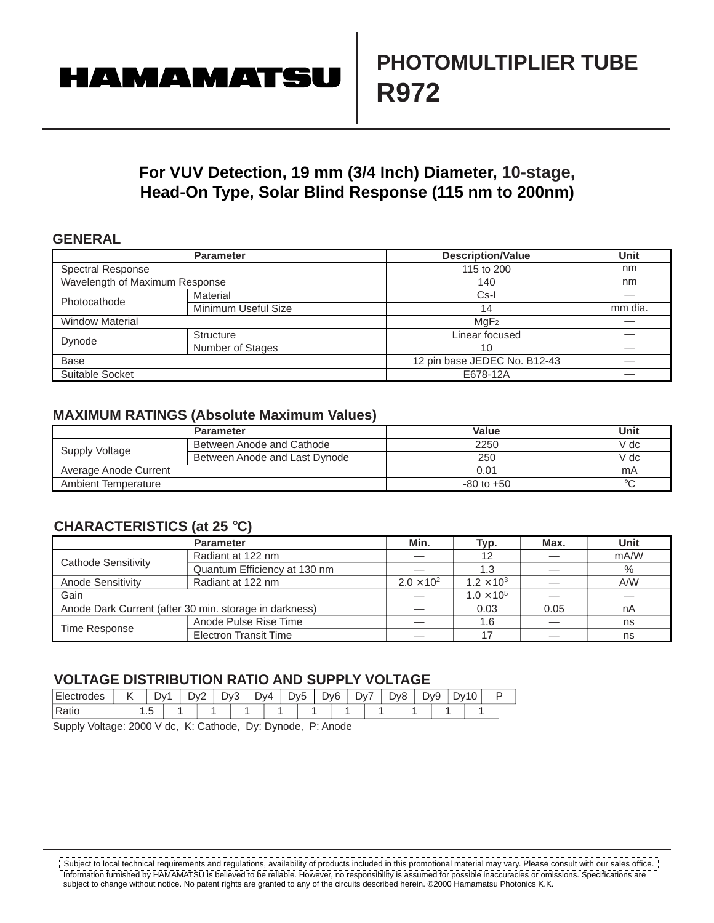# **HAMAMATSU**

### **For VUV Detection, 19 mm (3/4 Inch) Diameter, 10-stage, Head-On Type, Solar Blind Response (115 nm to 200nm)**

#### **GENERAL**

|                                | <b>Parameter</b>    | <b>Description/Value</b>                       | Unit    |
|--------------------------------|---------------------|------------------------------------------------|---------|
| <b>Spectral Response</b>       |                     | 115 to 200                                     | nm      |
| Wavelength of Maximum Response |                     | 140                                            | nm      |
| Photocathode                   | Material            | $Cs-I$                                         |         |
|                                | Minimum Useful Size | 14                                             | mm dia. |
| <b>Window Material</b>         |                     | MqF <sub>2</sub>                               |         |
| Dynode                         | <b>Structure</b>    | Linear focused                                 |         |
|                                | Number of Stages    | 10<br>12 pin base JEDEC No. B12-43<br>E678-12A |         |
| <b>Base</b>                    |                     |                                                |         |
| Suitable Socket                |                     |                                                |         |

#### **MAXIMUM RATINGS (Absolute Maximum Values)**

|                            | <b>Parameter</b>              | Value          | Unit    |
|----------------------------|-------------------------------|----------------|---------|
| Supply Voltage             | Between Anode and Cathode     | 2250           | V dc    |
|                            | Between Anode and Last Dynode | 250            | V dc    |
| Average Anode Current      |                               | 0.01           | mA      |
| <b>Ambient Temperature</b> |                               | $-80$ to $+50$ | $\circ$ |

#### **CHARACTERISTICS (at 25** °**C)**

|                     | <b>Parameter</b>                                                       | Min.              | Typ.                | Max. | Unit |  |
|---------------------|------------------------------------------------------------------------|-------------------|---------------------|------|------|--|
| Cathode Sensitivity | Radiant at 122 nm                                                      |                   | 12                  |      | mA/W |  |
|                     | Quantum Efficiency at 130 nm                                           |                   | 1.3                 |      | $\%$ |  |
| Anode Sensitivity   | Radiant at 122 nm                                                      | $2.0 \times 10^2$ | $1.2 \times 10^{3}$ |      | A/W  |  |
| Gain                |                                                                        |                   | $1.0 \times 10^5$   |      |      |  |
|                     | Anode Dark Current (after 30 min. storage in darkness)<br>0.05<br>0.03 |                   |                     | nA   |      |  |
| Time Response       | Anode Pulse Rise Time                                                  |                   | 1.6                 |      | ns   |  |
|                     | <b>Electron Transit Time</b>                                           |                   | 17                  |      | ns   |  |

#### **VOLTAGE DISTRIBUTION RATIO AND SUPPLY VOLTAGE**

| Ele<br>ctrodes |         | Dv1 | $\overline{\phantom{0}}$<br>$\mathcal{N}$<br>- | Dv3 | Dv4 | ້ | -<br>Jv5 | Dv <sub>6</sub><br>◡ | Dv7 | Dv8<br>ັ<br>◡ | -<br>້ | 7۷0 | −⊃∨″ | $\sim$ |  |
|----------------|---------|-----|------------------------------------------------|-----|-----|---|----------|----------------------|-----|---------------|--------|-----|------|--------|--|
| Ratio          | $\cdot$ |     |                                                |     |     |   |          |                      |     |               |        |     |      |        |  |

Supply Voltage: 2000 V dc, K: Cathode, Dy: Dynode, P: Anode

<u> - - - - - - - - - - - - -</u> <u> - - - - - - - - -</u> subject to local technical requirements and regulations, availability of products included in this promotional material material material material material material material material material material material material mat Information furnished by HAMAMATSU is believed to be reliable. However, no responsibility is assumed for possible inaccuracies or omissions. Specifications are subject to change without notice. No patent rights are granted to any of the circuits described herein. ©2000 Hamamatsu Photonics K.K.